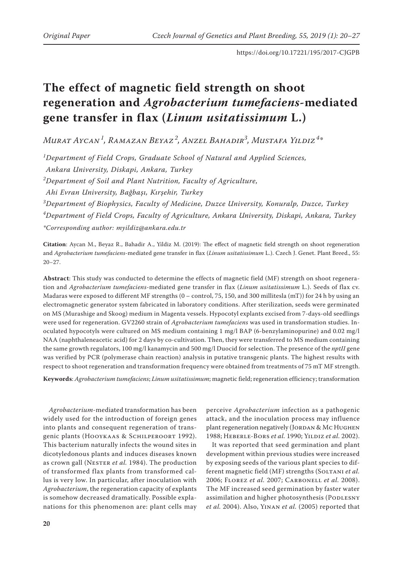# **The effect of magnetic field strength on shoot regeneration and** *Agrobacterium tumefaciens***-mediated gene transfer in flax (***Linum usitatissimum* **L.)**

*Murat Aycan<sup>1</sup> , Ramazan Beyaz <sup>2</sup> , Anzel Bahadir<sup>3</sup> , Mustafa Yildiz <sup>4</sup> \**

*1 Department of Field Crops, Graduate School of Natural and Applied Sciences, Ankara University, Diskapi, Ankara, Turkey 2 Department of Soil and Plant Nutrition, Faculty of Agriculture,*

*Ahi Evran University, Bağbaşı, Kırşehir, Turkey*

*3 Department of Biophysics, Faculty of Medicine, Duzce University, Konuralp, Duzce, Turkey 4 Department of Field Crops, Faculty of Agriculture, Ankara University, Diskapi, Ankara, Turkey \*Corresponding author: myildiz@ankara.edu.tr*

**Citation**: Aycan M., Beyaz R., Bahadir A., Yildiz M. (2019): The effect of magnetic field strength on shoot regeneration and *Agrobacterium tumefaciens*-mediated gene transfer in flax (*Linum usitatissimum* L.). Czech J. Genet. Plant Breed., 55: 20−27.

**Abstract**: This study was conducted to determine the effects of magnetic field (MF) strength on shoot regeneration and *Agrobacterium tumefaciens*-mediated gene transfer in flax (*Linum usitatissimum* L.). Seeds of flax cv. Madaras were exposed to different MF strengths (0 – control, 75, 150, and 300 millitesla (mT)) for 24 h by using an electromagnetic generator system fabricated in laboratory conditions. After sterilization, seeds were germinated on MS (Murashige and Skoog) medium in Magenta vessels. Hypocotyl explants excised from 7-days-old seedlings were used for regeneration. GV2260 strain of *Agrobacterium tumefaciens* was used in transformation studies. Inoculated hypocotyls were cultured on MS medium containing 1 mg/l BAP (6-benzylaminopurine) and 0.02 mg/l NAA (naphthaleneacetic acid) for 2 days by co-cultivation. Then, they were transferred to MS medium containing the same growth regulators, 100 mg/l kanamycin and 500 mg/l Duocid for selection. The presence of the *nptII* gene was verified by PCR (polymerase chain reaction) analysis in putative transgenic plants. The highest results with respect to shoot regeneration and transformation frequency were obtained from treatments of 75 mT MF strength.

**Keywords**: *Agrobacterium tumefaciens*; *Linum usitatissimum*; magnetic field; regeneration efficiency; transformation

*Agrobacterium*-mediated transformation has been widely used for the introduction of foreign genes into plants and consequent regeneration of transgenic plants (Hooykaas & Schilperoort 1992). This bacterium naturally infects the wound sites in dicotyledonous plants and induces diseases known as crown gall (Nester *et al.* 1984). The production of transformed flax plants from transformed callus is very low. In particular, after inoculation with *Agrobacterium*, the regeneration capacity of explants is somehow decreased dramatically. Possible explanations for this phenomenon are: plant cells may

perceive *Agrobacterium* infection as a pathogenic attack, and the inoculation process may influence plant regeneration negatively (JORDAN & MC HUGHEN 1988; Heberle-Bors *et al.* 1990; Yildiz *et al.* 2002).

It was reported that seed germination and plant development within previous studies were increased by exposing seeds of the various plant species to different magnetic field (MF) strengths (SOLTANI *et al.* 2006; Florez *et al.* 2007; Carbonell *et al.* 2008). The MF increased seed germination by faster water assimilation and higher photosynthesis (PODLESNY *et al.* 2004). Also, Yinan *et al.* (2005) reported that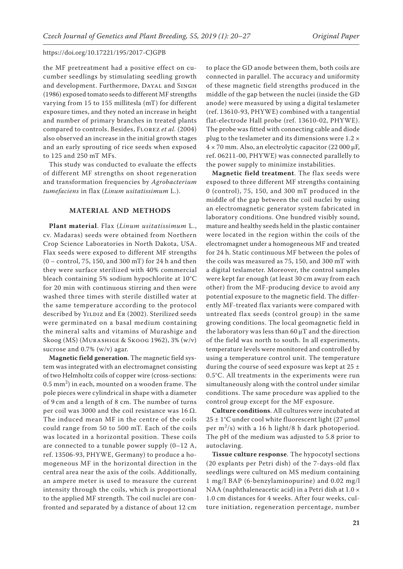the MF pretreatment had a positive effect on cucumber seedlings by stimulating seedling growth and development. Furthermore, DAYAL and SINGH (1986) exposed tomato seeds to different MF strengths varying from 15 to 155 millitesla (mT) for different exposure times, and they noted an increase in height and number of primary branches in treated plants compared to controls. Besides, Florez *et al.* (2004) also observed an increase in the initial growth stages and an early sprouting of rice seeds when exposed to 125 and 250 mT MFs.

This study was conducted to evaluate the effects of different MF strengths on shoot regeneration and transformation frequencies by *Agrobacterium tumefaciens* in flax (*Linum usitatissimum* L.).

# **MATERIAL AND METHODS**

**Plant material**. Flax (*Linum usitatissimum* L., cv. Madaras) seeds were obtained from Northern Crop Science Laboratories in North Dakota, USA. Flax seeds were exposed to different MF strengths (0 – control, 75, 150, and 300 mT) for 24 h and then they were surface sterilized with 40% commercial bleach containing 5% sodium hypochlorite at 10°C for 20 min with continuous stirring and then were washed three times with sterile distilled water at the same temperature according to the protocol described by YILDIZ and ER (2002). Sterilized seeds were germinated on a basal medium containing the mineral salts and vitamins of Murashige and Skoog (MS) (Murashige & Skoog 1962), 3% (w/v) sucrose and 0.7% (w/v) agar.

**Magnetic field generation**. The magnetic field system was integrated with an electromagnet consisting of two Helmholtz coils of copper wire (cross-sections:  $(0.5 \text{ mm}^2)$  in each, mounted on a wooden frame. The pole pieces were cylindrical in shape with a diameter of 9 cm and a length of 8 cm. The number of turns per coil was 3000 and the coil resistance was 16 Ω. The induced mean MF in the centre of the coils could range from 50 to 500 mT. Each of the coils was located in a horizontal position. These coils are connected to a tunable power supply (0–12 A, ref. 13506-93, PHYWE, Germany) to produce a homogeneous MF in the horizontal direction in the central area near the axis of the coils. Additionally, an ampere meter is used to measure the current intensity through the coils, which is proportional to the applied MF strength. The coil nuclei are confronted and separated by a distance of about 12 cm

to place the GD anode between them, both coils are connected in parallel. The accuracy and uniformity of these magnetic field strengths produced in the middle of the gap between the nuclei (inside the GD anode) were measured by using a digital teslameter (ref. 13610-93, PHYWE) combined with a tangential flat-electrode Hall probe (ref. 13610-02, PHYWE). The probe was fitted with connecting cable and diode plug to the teslameter and its dimensions were  $1.2 \times$ 4 × 70 mm. Also, an electrolytic capacitor (22 000 µF, ref. 06211-00, PHYWE) was connected parallelly to the power supply to minimize instabilities.

**Magnetic field treatment**. The flax seeds were exposed to three different MF strengths containing 0 (control), 75, 150, and 300 mT produced in the middle of the gap between the coil nuclei by using an electromagnetic generator system fabricated in laboratory conditions. One hundred visibly sound, mature and healthy seeds held in the plastic container were located in the region within the coils of the electromagnet under a homogeneous MF and treated for 24 h. Static continuous MF between the poles of the coils was measured as 75, 150, and 300 mT with a digital teslameter. Moreover, the control samples were kept far enough (at least 30 cm away from each other) from the MF-producing device to avoid any potential exposure to the magnetic field. The differently MF-treated flax variants were compared with untreated flax seeds (control group) in the same growing conditions. The local geomagnetic field in the laboratory was less than  $60 \mu$ T and the direction of the field was north to south. In all experiments, temperature levels were monitored and controlled by using a temperature control unit. The temperature during the course of seed exposure was kept at  $25 \pm$ 0.5°C. All treatments in the experiments were run simultaneously along with the control under similar conditions. The same procedure was applied to the control group except for the MF exposure.

**Culture conditions**. All cultures were incubated at 25 ± 1°C under cool white fluorescent light (27 μmol per  $m^2/s$ ) with a 16 h light/8 h dark photoperiod. The pH of the medium was adjusted to 5.8 prior to autoclaving.

**Tissue culture response**. The hypocotyl sections (20 explants per Petri dish) of the 7-days-old flax seedlings were cultured on MS medium containing 1 mg/l BAP (6-benzylaminopurine) and 0.02 mg/l NAA (naphthaleneacetic acid) in a Petri dish at 1.0 × 1.0 cm distances for 4 weeks. After four weeks, culture initiation, regeneration percentage, number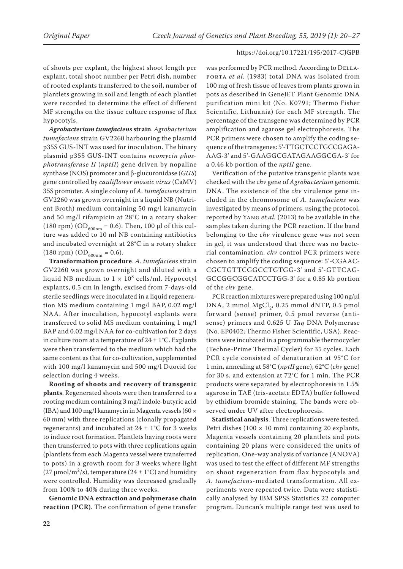of shoots per explant, the highest shoot length per explant, total shoot number per Petri dish, number of rooted explants transferred to the soil, number of plantlets growing in soil and length of each plantlet were recorded to determine the effect of different MF strengths on the tissue culture response of flax hypocotyls.

*Agrobacterium tumefaciens* **strain**. *Agrobacterium tumefaciens* strain GV2260 harbouring the plasmid p35S GUS-INT was used for inoculation. The binary plasmid p35S GUS-INT contains *neomycin phosphotransferase II* (*nptII*) gene driven by nopaline synthase (NOS) promoter and β-glucuronidase (*GUS*) gene controlled by *cauliflower mosaic virus* (CaMV) 35S promoter. A single colony of *A. tumefaciens* strain GV2260 was grown overnight in a liquid NB (Nutrient Broth) medium containing 50 mg/l kanamycin and 50 mg/l rifampicin at 28°C in a rotary shaker (180 rpm) (OD<sub>600nm</sub> = 0.6). Then, 100 µl of this culture was added to 10 ml NB containing antibiotics and incubated overnight at 28°C in a rotary shaker (180 rpm) (OD<sub>600nm</sub> = 0.6).

**Transformation procedure**. *A. tumefaciens* strain GV2260 was grown overnight and diluted with a liquid NB medium to  $1 \times 10^8$  cells/ml. Hypocotyl explants, 0.5 cm in length, excised from 7-days-old sterile seedlings were inoculated in a liquid regeneration MS medium containing 1 mg/l BAP, 0.02 mg/l NAA. After inoculation, hypocotyl explants were transferred to solid MS medium containing 1 mg/l BAP and 0.02 mg/l NAA for co-cultivation for 2 days in culture room at a temperature of 24 *±* 1°C. Explants were then transferred to the medium which had the same content as that for co-cultivation, supplemented with 100 mg/l kanamycin and 500 mg/l Duocid for selection during 4 weeks.

**Rooting of shoots and recovery of transgenic plants**. Regenerated shoots were then transferred to a rooting medium containing 3 mg/l indole-butyric acid (IBA) and 100 mg/l kanamycin in Magenta vessels (60  $\times$ 60 mm) with three replications (clonally propagated regenerants) and incubated at  $24 \pm 1^{\circ}$ C for 3 weeks to induce root formation. Plantlets having roots were then transferred to pots with three replications again (plantlets from each Magenta vessel were transferred to pots) in a growth room for 3 weeks where light (27  $\mu$ mol/m<sup>2</sup>/s), temperature (24 ± 1°C) and humidity were controlled. Humidity was decreased gradually from 100% to 40% during three weeks.

**Genomic DNA extraction and polymerase chain reaction (PCR)**. The confirmation of gene transfer was performed by PCR method. According to DELLAporta *et al.* (1983) total DNA was isolated from 100 mg of fresh tissue of leaves from plants grown in pots as described in GeneJET Plant Genomic DNA purification mini kit (No. K0791; Thermo Fisher Scientific, Lithuania) for each MF strength. The percentage of the transgene was determined by PCR amplification and agarose gel electrophoresis. The PCR primers were chosen to amplify the coding sequence of the transgenes: 5'-TTGCTCCTGCCGAGA-AAG-3' and 5'-GAAGGCGATAGAAGGCGA-3' for a 0.46 kb portion of the *nptII* gene.

Verification of the putative transgenic plants was checked with the *chv* gene of *Agrobacterium* genomic DNA. The existence of the *chv* virulence gene included in the chromosome of *A. tumefaciens* was investigated by means of primers, using the protocol, reported by Yang *et al.* (2013) to be available in the samples taken during the PCR reaction. If the band belonging to the *chv* virulence gene was not seen in gel, it was understood that there was no bacterial contamination. *chv* control PCR primers were chosen to amplify the coding sequence: 5'-CGAAC-CGCTGTTCGGCCTGTGG-3' and 5'-GTTCAG-GCCGGCGGCATCCTGG-3' for a 0.85 kb portion of the *chv* gene.

PCR reaction mixtures were prepared using 100 ng/µl DNA, 2 mmol MgCl<sub>2</sub>, 0.25 mmol dNTP, 0.5 pmol forward (sense) primer, 0.5 pmol reverse (antisense) primers and 0.625 U *Taq* DNA Polymerase (No. EP0402; Thermo Fisher Scientific, USA). Reactions were incubated in a programmable thermocycler (Techne-Prime Thermal Cycler) for 35 cycles. Each PCR cycle consisted of denaturation at 95°C for 1 min, annealing at 58°C (*nptII* gene), 62°C (*chv* gene) for 30 s, and extension at 72°C for 1 min. The PCR products were separated by electrophoresis in 1.5% agarose in TAE (tris-acetate EDTA) buffer followed by ethidium bromide staining. The bands were observed under UV after electrophoresis.

**Statistical analysis**. Three replications were tested. Petri dishes  $(100 \times 10 \text{ mm})$  containing 20 explants, Magenta vessels containing 20 plantlets and pots containing 20 plans were considered the units of replication. One-way analysis of variance (ANOVA) was used to test the effect of different MF strengths on shoot regeneration from flax hypocotyls and *A. tumefaciens*-mediated transformation. All experiments were repeated twice. Data were statistically analysed by IBM SPSS Statistics 22 computer program. Duncan's multiple range test was used to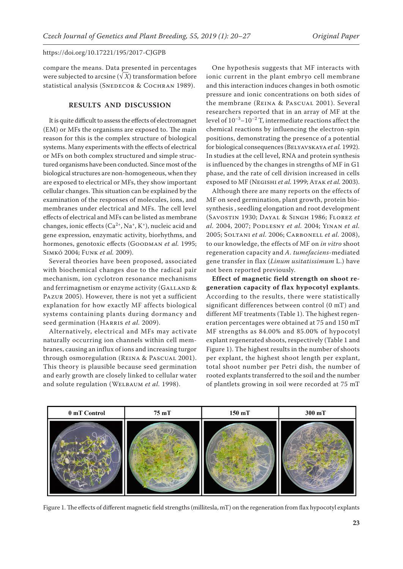compare the means. Data presented in percentages were subjected to arcsine ( $\sqrt{X}$ ) transformation before statistical analysis (SNEDECOR & COCHRAN 1989).

# **RESULTS AND DISCUSSION**

It is quite difficult to assess the effects of electromagnet (EM) or MFs the organisms are exposed to. The main reason for this is the complex structure of biological systems. Many experiments with the effects of electrical or MFs on both complex structured and simple structured organisms have been conducted. Since most of the biological structures are non-homogeneous, when they are exposed to electrical or MFs, they show important cellular changes. This situation can be explained by the examination of the responses of molecules, ions, and membranes under electrical and MFs. The cell level effects of electrical and MFs can be listed as membrane changes, ionic effects  $(Ca^{2+}, Na^+, K^+)$ , nucleic acid and gene expression, enzymatic activity, biorhythms, and hormones, genotoxic effects (Goodman *et al.* 1995; Simkó 2004; Funk *et al.* 2009).

Several theories have been proposed, associated with biochemical changes due to the radical pair mechanism, ion cyclotron resonance mechanisms and ferrimagnetism or enzyme activity (GALLAND & Pazur 2005). However, there is not yet a sufficient explanation for how exactly MF affects biological systems containing plants during dormancy and seed germination (HARRIS et al. 2009).

Alternatively, electrical and MFs may activate naturally occurring ion channels within cell membranes, causing an influx of ions and increasing turgor through osmoregulation (REINA & PASCUAL 2001). This theory is plausible because seed germination and early growth are closely linked to cellular water and solute regulation (Welbaum *et al.* 1998).

One hypothesis suggests that MF interacts with ionic current in the plant embryo cell membrane and this interaction induces changes in both osmotic pressure and ionic concentrations on both sides of the membrane (REINA & PASCUAL 2001). Several researchers reported that in an array of MF at the level of  $10^{-3}$ – $10^{-2}$  T, intermediate reactions affect the chemical reactions by influencing the electron-spin positions, demonstrating the presence of a potential for biological consequences (Belyavskaya *et al.* 1992). In studies at the cell level, RNA and protein synthesis is influenced by the changes in strengths of MF in G1 phase, and the rate of cell division increased in cells exposed to MF (NEGISHI *et al.* 1999; ATAK *et al.* 2003).

Although there are many reports on the effects of MF on seed germination, plant growth, protein biosynthesis , seedling elongation and root development (Savostin 1930; Dayal & Singh 1986; Florez *et al.* 2004, 2007; Podlesny *et al.* 2004; Yinan *et al.* 2005; Soltani *et al.* 2006; Carbonell *et al.* 2008), to our knowledge, the effects of MF on *in vitro* shoot regeneration capacity and *A. tumefaciens*-mediated gene transfer in flax (*Linum usitatissimum* L.) have not been reported previously.

**Effect of magnetic field strength on shoot regeneration capacity of flax hypocotyl explants**. According to the results, there were statistically significant differences between control (0 mT) and different MF treatments (Table 1). The highest regeneration percentages were obtained at 75 and 150 mT MF strengths as 84.00% and 85.00% of hypocotyl explant regenerated shoots, respectively (Table 1 and Figure 1). The highest results in the number of shoots per explant, the highest shoot length per explant, total shoot number per Petri dish, the number of rooted explants transferred to the soil and the number of plantlets growing in soil were recorded at 75 mT



Figure 1. The effects of different magnetic field strengths (millitesla, mT) on the regeneration from flax hypocotyl explants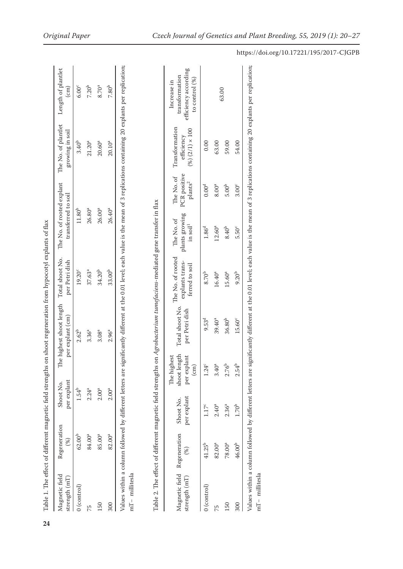|                                              |                     |                          |                                                               |                                              | Table 1. The effect of different magnetic field strengths on shoot regeneration from hypocotyl explants of flax       |                                                      |                                              |                                                        |                                                                            |
|----------------------------------------------|---------------------|--------------------------|---------------------------------------------------------------|----------------------------------------------|-----------------------------------------------------------------------------------------------------------------------|------------------------------------------------------|----------------------------------------------|--------------------------------------------------------|----------------------------------------------------------------------------|
| Magnetic field<br>strength (mT)              | Regeneration<br>(%) | per explant<br>Shoot No. |                                                               | The highest shoot length<br>per explant (cm) | Total shoot No.<br>per Petri dish                                                                                     | The No. of rooted explant<br>transferred to soil     |                                              | The No. of plantlet<br>growing in soil                 | Length of plantlet<br>$\text{cm}$ )                                        |
| $0$ (control)                                | $62.00^{b}$         | 1.54 <sup>b</sup>        |                                                               | $2.62^{b}$                                   | $19.20^{\circ}$                                                                                                       | $11.80^{b}$                                          |                                              | 3.40 <sup>b</sup>                                      | 6.00 <sup>c</sup>                                                          |
| 75                                           | 84.00 <sup>a</sup>  | $2.24^{a}$               |                                                               | $3.36^{a}$                                   | $37.63^{a}$                                                                                                           | 26.80 <sup>a</sup>                                   |                                              | $21.20^{a}$                                            | 7.20 <sup>b</sup>                                                          |
| 150                                          | $85.00^a$           | $2.00^{a}$               |                                                               | $3.08^{a}$                                   | $34.20^{b}$                                                                                                           | 26.00 <sup>a</sup>                                   |                                              | $20.60^{a}$                                            | $8.70^{a}$                                                                 |
| $\approx 00$                                 | $82.00^{a}$         | $2.00^{a}$               |                                                               | $2.96^{a}$                                   | 33.00 <sup>b</sup>                                                                                                    | $26.40^{a}$                                          |                                              | $20.10^{a}$                                            | $7.80^{b}$                                                                 |
|                                              |                     |                          |                                                               |                                              | Table 2. The effect of different magnetic field strengths on Agrobacterium tumefaciens-mediated gene transfer in flax |                                                      |                                              |                                                        |                                                                            |
| Magnetic field Regeneration<br>strength (mT) | $(\%)$              | per explant<br>Shoot No. | shoot length<br>The highest<br>per explant<br>$\binom{cm}{ }$ | Total shoot No.<br>per Petri dish            | The No. of rooted<br>explants trans-<br>ferred to soil                                                                | plants growing<br>The No. of<br>in soil <sup>1</sup> | PCR positive<br>The No. of<br>$\rm plants^2$ | Transformation<br>$(%) (2/1) \times 100$<br>efficiency | efficiency according<br>transformation<br>to control $(\%)$<br>Increase in |
| $0$ (control)                                | $41.25^{b}$         | 1.17 <sup>c</sup>        | 1.24°                                                         | 9.53 <sup>d</sup>                            | $8.70^{b}$                                                                                                            | 1.86 <sup>d</sup>                                    | 0.00 <sup>d</sup>                            | 0.00                                                   |                                                                            |

**24**

63.00

63.00 59.00 54.00

 $8.00^{\rm a}$ 

 $12.60^{a}$  $8.40^{\rm b}$ 

 $16.40^{a}$  $15.60^{a}$  $9.20^{\rm b}$ 

 $5.00^{\rm b}$  $3.00^{\circ}$ 

 $5.50^{\circ}$ 

75 82.00a 2.40a 3.40a 39.40a 16.40a 12.60a 8.00a 63.00 150 78.00a 2.36a 2.76b 36.80b 15.60a 8.40b 5.00b 59.00 300 46.00b 1.70b 2.54b 15.60c 9.20b 5.50c 3.00c 54.00

 $3.40^{a}$  $2.76^b$  $2.54^{b}$ 

 $2.40^{\rm a}$  $2.36^{a}$  $1.70^{\rm b}$ 

 $82.00^{a}$ 

 $46.00<sup>b</sup>$  $78.00^{\rm a}$ 

150  $\frac{300}{2}$ 

 $75$ 

 $36.80^{\rm b}$  $39.40^{a}$ 

 $15.60^{\circ}$ 

Values within a column followed by different letters are significantly different at the 0.01 level; each value is the mean of 3 replications containing 20 explants per replication;

Values within a column followed by different letters are significantly different at the 0.01 level; each value is the mean of 3 replications containing 20 explants per replication;

mT− millitesla

 $mT$ – millitesla

# https://doi.org/10.17221/195/2017-CJGPB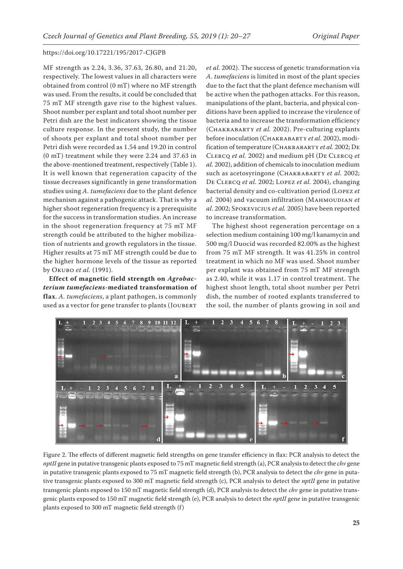MF strength as 2.24, 3.36, 37.63, 26.80, and 21.20, respectively. The lowest values in all characters were obtained from control (0 mT) where no MF strength was used. From the results, it could be concluded that 75 mT MF strength gave rise to the highest values. Shoot number per explant and total shoot number per Petri dish are the best indicators showing the tissue culture response. In the present study, the number of shoots per explant and total shoot number per Petri dish were recorded as 1.54 and 19.20 in control (0 mT) treatment while they were 2.24 and 37.63 in the above-mentioned treatment, respectively (Table 1). It is well known that regeneration capacity of the tissue decreases significantly in gene transformation studies using *A. tumefaciens* due to the plant defence mechanism against a pathogenic attack. That is why a higher shoot regeneration frequency is a prerequisite for the success in transformation studies. An increase in the shoot regeneration frequency at 75 mT MF strength could be attributed to the higher mobilization of nutrients and growth regulators in the tissue. Higher results at 75 mT MF strength could be due to the higher hormone levels of the tissue as reported by Okubo *et al.* (1991).

**Effect of magnetic field strength on** *Agrobacterium tumefaciens***-mediated transformation of flax**. *A. tumefaciens*, a plant pathogen, is commonly used as a vector for gene transfer to plants (JOUBERT *et al.* 2002). The success of genetic transformation via *A. tumefaciens* is limited in most of the plant species due to the fact that the plant defence mechanism will be active when the pathogen attacks. For this reason, manipulations of the plant, bacteria, and physical conditions have been applied to increase the virulence of bacteria and to increase the transformation efficiency (Chakrabarty *et al.* 2002). Pre-culturing explants before inoculation (Chakrabarty *et al.* 2002), modification of temperature (Chakrabarty *et al.* 2002; De Clercq *et al.* 2002) and medium pH (De Clercq *et al.* 2002), addition of chemicals to inoculation medium such as acetosyringone (Chakrabarty *et al.* 2002; De Clercq *et al.* 2002; Lopez *et al.* 2004), changing bacterial density and co-cultivation period (Lopez *et al.* 2004) and vacuum infiltration (Mahmoudian *et al*. 2002; Spokevicius *et al.* 2005) have been reported to increase transformation.

The highest shoot regeneration percentage on a selection medium containing 100 mg/l kanamycin and 500 mg/l Duocid was recorded 82.00% as the highest from 75 mT MF strength. It was 41.25% in control treatment in which no MF was used. Shoot number per explant was obtained from 75 mT MF strength as 2.40, while it was 1.17 in control treatment. The highest shoot length, total shoot number per Petri dish, the number of rooted explants transferred to the soil, the number of plants growing in soil and



Figure 2. The effects of different magnetic field strengths on gene transfer efficiency in flax: PCR analysis to detect the *nptII* gene in putative transgenic plants exposed to 75 mT magnetic field strength (a), PCR analysis to detect the *chv* gene in putative transgenic plants exposed to 75 mT magnetic field strength (b), PCR analysis to detect the *chv* gene in putative transgenic plants exposed to 300 mT magnetic field strength (c), PCR analysis to detect the *nptII* gene in putative transgenic plants exposed to 150 mT magnetic field strength (d), PCR analysis to detect the *chv* gene in putative transgenic plants exposed to 150 mT magnetic field strength (e), PCR analysis to detect the *nptII* gene in putative transgenic plants exposed to 300 mT magnetic field strength (f)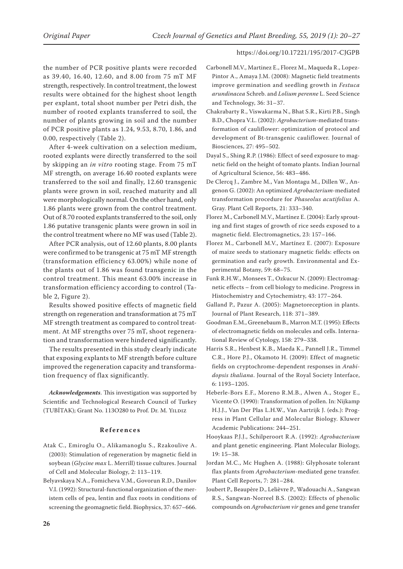the number of PCR positive plants were recorded as 39.40, 16.40, 12.60, and 8.00 from 75 mT MF strength, respectively. In control treatment, the lowest results were obtained for the highest shoot length per explant, total shoot number per Petri dish, the number of rooted explants transferred to soil, the number of plants growing in soil and the number of PCR positive plants as 1.24, 9.53, 8.70, 1.86, and 0.00, respectively (Table 2).

After 4-week cultivation on a selection medium, rooted explants were directly transferred to the soil by skipping an *in vitro* rooting stage. From 75 mT MF strength, on average 16.40 rooted explants were transferred to the soil and finally, 12.60 transgenic plants were grown in soil, reached maturity and all were morphologically normal. On the other hand, only 1.86 plants were grown from the control treatment. Out of 8.70 rooted explants transferred to the soil, only 1.86 putative transgenic plants were grown in soil in the control treatment where no MF was used (Table 2).

After PCR analysis, out of 12.60 plants, 8.00 plants were confirmed to be transgenic at 75 mT MF strength (transformation efficiency 63.00%) while none of the plants out of 1.86 was found transgenic in the control treatment. This meant 63.00% increase in transformation efficiency according to control (Table 2, Figure 2).

Results showed positive effects of magnetic field strength on regeneration and transformation at 75 mT MF strength treatment as compared to control treatment. At MF strengths over 75 mT, shoot regeneration and transformation were hindered significantly.

The results presented in this study clearly indicate that exposing explants to MF strength before culture improved the regeneration capacity and transformation frequency of flax significantly.

*Acknowledgements*. This investigation was supported by Scientific and Technological Research Council of Turkey (TUBİTAK); Grant No. 113O280 to Prof. Dr. M. YILDIZ

## **References**

- Atak C., Emiroglu O., Alikamanoglu S., Rzakoulive A. (2003): Stimulation of regeneration by magnetic field in soybean (*Glycine max* L. Merrill) tissue cultures. Journal of Cell and Molecular Biology, 2: 113–119.
- Belyavskaya N.A., Fomicheva V.M., Govorun R.D., Danilov V.I. (1992): Structural-functional organization of the meristem cells of pea, lentin and flax roots in conditions of screening the geomagnetic field. Biophysics, 37: 657–666.
- Carbonell M.V., Martinez E., Florez M., Maqueda R., Lopez-Pintor A., Amaya J.M. (2008): Magnetic field treatments improve germination and seedling growth in *Festuca arundinacea* Schreb. and *Lolium perenne* L. Seed Science and Technology, 36: 31–37.
- Chakrabarty R., Viswakarma N., Bhat S.R., Kirti P.B., Singh B.D., Chopra V.L. (2002): *Agrobacterium*-mediated transformation of cauliflower: optimization of protocol and development of Bt-transgenic cauliflower. Journal of Biosciences, 27: 495–502.
- Dayal S., Shing R.P. (1986): Effect of seed exposure to magnetic field on the height of tomato plants. Indian Journal of Agricultural Science, 56: 483–486.
- De Clercq J., Zambre M., Van Montagu M., Dillen W., Angenon G. (2002): An optimized *Agrobacterium*-mediated transformation procedure for *Phaseolus acutifolius* A. Gray. Plant Cell Reports, 21: 333–340.
- Florez M., Carbonell M.V., Martínez E. (2004): Early sprouting and first stages of growth of rice seeds exposed to a magnetic field. Electromagnetics, 23: 157–166.
- Florez M., Carbonell M.V., Martínez E. (2007): Exposure of maize seeds to stationary magnetic fields: effects on germination and early growth. Environmental and Experimental Botany, 59: 68–75.
- Funk R.H.W., Monsees T., Ozkucur N. (2009): Electromagnetic effects – from cell biology to medicine. Progress in Histochemistry and Cytochemistry, 43: 177–264.
- Galland P., Pazur A. (2005): Magnetoreception in plants. Journal of Plant Research, 118: 371–389.
- Goodman E.M., Greenebaum B., Marron M.T. (1995): Effects of electromagnetic fields on molecules and cells. International Review of Cytology, 158: 279–338.
- Harris S.R., Henbest K.B., Maeda K., Pannell J.R., Timmel C.R., Hore P.J., Okamoto H. (2009): Effect of magnetic fields on cryptochrome-dependent responses in *Arabidopsis thaliana*. Journal of the Royal Society Interface, 6: 1193–1205.
- Heberle-Bors E.F., Moreno R.M.B., Alwen A., Stoger E., Vicente O. (1990): Transformation of pollen. In: Nijkamp H.J.J., Van Der Plas L.H.W., Van Aartrijk J. (eds.): Progress in Plant Cellular and Molecular Biology. Kluwer Academic Publications: 244–251.
- Hooykaas P.J.J., Schilperoort R.A. (1992): *Agrobacterium* and plant genetic engineering. Plant Molecular Biology, 19: 15–38.
- Jordan M.C., Mc Hughen A. (1988): Glyphosate tolerant flax plants from *Agrobacterium*-mediated gene transfer. Plant Cell Reports, 7: 281–284.
- Joubert P., Beaupère D., Lelièvre P., Wadouachi A., Sangwan R.S., Sangwan-Norreel B.S. (2002): Effects of phenolic compounds on *Agrobacterium vir* genes and gene transfer